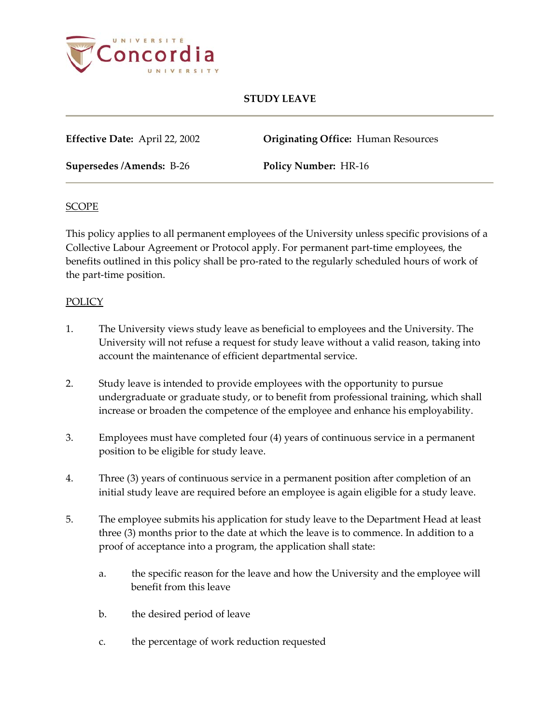

# **STUDY LEAVE**

**Effective Date:** April 22, 2002 **Originating Office:** Human Resources

**Supersedes /Amends:** B-26 **Policy Number:** HR-16

#### **SCOPE**

This policy applies to all permanent employees of the University unless specific provisions of a Collective Labour Agreement or Protocol apply. For permanent part-time employees, the benefits outlined in this policy shall be pro-rated to the regularly scheduled hours of work of the part-time position.

#### POLICY

- 1. The University views study leave as beneficial to employees and the University. The University will not refuse a request for study leave without a valid reason, taking into account the maintenance of efficient departmental service.
- 2. Study leave is intended to provide employees with the opportunity to pursue undergraduate or graduate study, or to benefit from professional training, which shall increase or broaden the competence of the employee and enhance his employability.
- 3. Employees must have completed four (4) years of continuous service in a permanent position to be eligible for study leave.
- 4. Three (3) years of continuous service in a permanent position after completion of an initial study leave are required before an employee is again eligible for a study leave.
- 5. The employee submits his application for study leave to the Department Head at least three (3) months prior to the date at which the leave is to commence. In addition to a proof of acceptance into a program, the application shall state:
	- a. the specific reason for the leave and how the University and the employee will benefit from this leave
	- b. the desired period of leave
	- c. the percentage of work reduction requested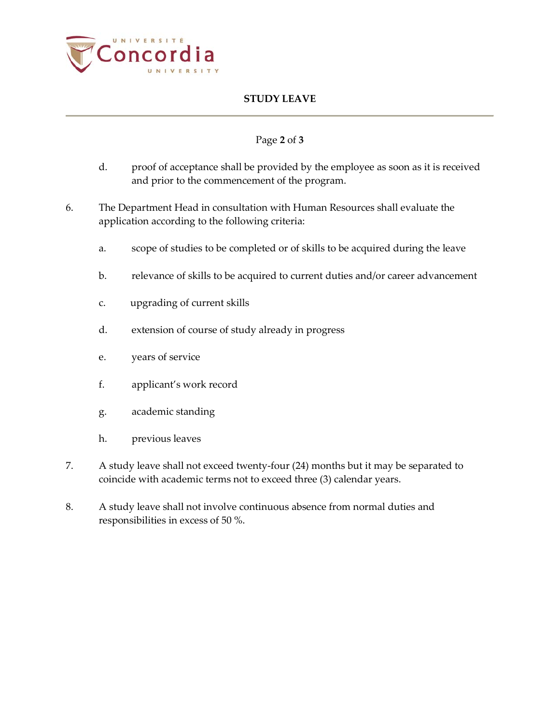

# **STUDY LEAVE**

## Page **2** of **3**

- d. proof of acceptance shall be provided by the employee as soon as it is received and prior to the commencement of the program.
- 6. The Department Head in consultation with Human Resources shall evaluate the application according to the following criteria:
	- a. scope of studies to be completed or of skills to be acquired during the leave
	- b. relevance of skills to be acquired to current duties and/or career advancement
	- c. upgrading of current skills
	- d. extension of course of study already in progress
	- e. years of service
	- f. applicant's work record
	- g. academic standing
	- h. previous leaves
- 7. A study leave shall not exceed twenty-four (24) months but it may be separated to coincide with academic terms not to exceed three (3) calendar years.
- 8. A study leave shall not involve continuous absence from normal duties and responsibilities in excess of 50 %.